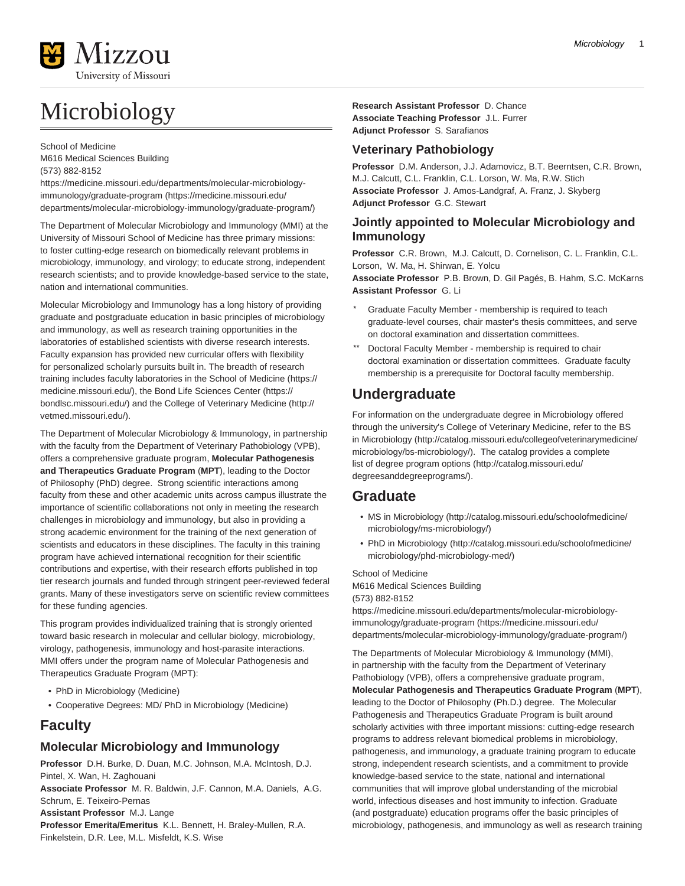# Microbiology

School of Medicine M616 Medical Sciences Building (573) 882-8152

[https://medicine.missouri.edu/departments/molecular-microbiology](https://medicine.missouri.edu/departments/molecular-microbiology-immunology/graduate-program/)[immunology/graduate-program](https://medicine.missouri.edu/departments/molecular-microbiology-immunology/graduate-program/) [\(https://medicine.missouri.edu/](https://medicine.missouri.edu/departments/molecular-microbiology-immunology/graduate-program/) [departments/molecular-microbiology-immunology/graduate-program/](https://medicine.missouri.edu/departments/molecular-microbiology-immunology/graduate-program/))

The Department of Molecular Microbiology and Immunology (MMI) at the University of Missouri School of Medicine has three primary missions: to foster cutting-edge research on biomedically relevant problems in microbiology, immunology, and virology; to educate strong, independent research scientists; and to provide knowledge-based service to the state, nation and international communities.

Molecular Microbiology and Immunology has a long history of providing graduate and postgraduate education in basic principles of microbiology and immunology, as well as research training opportunities in the laboratories of established scientists with diverse research interests. Faculty expansion has provided new curricular offers with flexibility for personalized scholarly pursuits built in. The breadth of research training includes faculty laboratories in the [School of Medicine](https://medicine.missouri.edu/) ([https://](https://medicine.missouri.edu/) [medicine.missouri.edu/\)](https://medicine.missouri.edu/), the [Bond Life Sciences Center](https://bondlsc.missouri.edu/) ([https://](https://bondlsc.missouri.edu/) [bondlsc.missouri.edu/](https://bondlsc.missouri.edu/)) and the [College of Veterinary Medicine](http://vetmed.missouri.edu/) ([http://](http://vetmed.missouri.edu/) [vetmed.missouri.edu/](http://vetmed.missouri.edu/)).

The Department of Molecular Microbiology & Immunology, in partnership with the faculty from the Department of Veterinary Pathobiology (VPB), offers a comprehensive graduate program, **Molecular Pathogenesis and Therapeutics Graduate Program** (**MPT**), leading to the Doctor of Philosophy (PhD) degree. Strong scientific interactions among faculty from these and other academic units across campus illustrate the importance of scientific collaborations not only in meeting the research challenges in microbiology and immunology, but also in providing a strong academic environment for the training of the next generation of scientists and educators in these disciplines. The faculty in this training program have achieved international recognition for their scientific contributions and expertise, with their research efforts published in top tier research journals and funded through stringent peer-reviewed federal grants. Many of these investigators serve on scientific review committees for these funding agencies.

This program provides individualized training that is strongly oriented toward basic research in molecular and cellular biology, microbiology, virology, pathogenesis, immunology and host-parasite interactions. MMI offers under the program name of Molecular Pathogenesis and Therapeutics Graduate Program (MPT):

- PhD in Microbiology (Medicine)
- Cooperative Degrees: MD/ PhD in Microbiology (Medicine)

### **Faculty**

### **Molecular Microbiology and Immunology**

Finkelstein, D.R. Lee, M.L. Misfeldt, K.S. Wise

**Professor** D.H. Burke, D. Duan, M.C. Johnson, M.A. McIntosh, D.J. Pintel, X. Wan, H. Zaghouani

**Associate Professor** M. R. Baldwin, J.F. Cannon, M.A. Daniels, A.G. Schrum, E. Teixeiro-Pernas **Assistant Professor** M.J. Lange **Professor Emerita/Emeritus** K.L. Bennett, H. Braley-Mullen, R.A.

**Research Assistant Professor** D. Chance **Associate Teaching Professor** J.L. Furrer **Adjunct Professor** S. Sarafianos

### **Veterinary Pathobiology**

**Professor** D.M. Anderson, J.J. Adamovicz, B.T. Beerntsen, C.R. Brown, M.J. Calcutt, C.L. Franklin, C.L. Lorson, W. Ma, R.W. Stich **Associate Professor** J. Amos-Landgraf, A. Franz, J. Skyberg **Adjunct Professor** G.C. Stewart

### **Jointly appointed to Molecular Microbiology and Immunology**

**Professor** C.R. Brown, M.J. Calcutt, D. Cornelison, C. L. Franklin, C.L. Lorson, W. Ma, H. Shirwan, E. Yolcu

**Associate Professor** P.B. Brown, D. Gil Pagés, B. Hahm, S.C. McKarns **Assistant Professor** G. Li

- Graduate Faculty Member membership is required to teach graduate-level courses, chair master's thesis committees, and serve on doctoral examination and dissertation committees.
- Doctoral Faculty Member membership is required to chair doctoral examination or dissertation committees. Graduate faculty membership is a prerequisite for Doctoral faculty membership.

# **Undergraduate**

For information on the undergraduate degree in Microbiology offered through the university's College of Veterinary Medicine, refer to the [BS](http://catalog.missouri.edu/collegeofveterinarymedicine/microbiology/bs-microbiology/) [in Microbiology](http://catalog.missouri.edu/collegeofveterinarymedicine/microbiology/bs-microbiology/) [\(http://catalog.missouri.edu/collegeofveterinarymedicine/](http://catalog.missouri.edu/collegeofveterinarymedicine/microbiology/bs-microbiology/) [microbiology/bs-microbiology/](http://catalog.missouri.edu/collegeofveterinarymedicine/microbiology/bs-microbiology/)). The catalog provides a complete list of [degree program options](http://catalog.missouri.edu/degreesanddegreeprograms/) ([http://catalog.missouri.edu/](http://catalog.missouri.edu/degreesanddegreeprograms/) [degreesanddegreeprograms/](http://catalog.missouri.edu/degreesanddegreeprograms/)).

### **Graduate**

- [MS in Microbiology \(http://catalog.missouri.edu/schoolofmedicine/](http://catalog.missouri.edu/schoolofmedicine/microbiology/ms-microbiology/) [microbiology/ms-microbiology/\)](http://catalog.missouri.edu/schoolofmedicine/microbiology/ms-microbiology/)
- [PhD in Microbiology](http://catalog.missouri.edu/schoolofmedicine/microbiology/phd-microbiology-med/) [\(http://catalog.missouri.edu/schoolofmedicine/](http://catalog.missouri.edu/schoolofmedicine/microbiology/phd-microbiology-med/) [microbiology/phd-microbiology-med/](http://catalog.missouri.edu/schoolofmedicine/microbiology/phd-microbiology-med/))

School of Medicine M616 Medical Sciences Building (573) 882-8152

[https://medicine.missouri.edu/departments/molecular-microbiology](https://medicine.missouri.edu/departments/molecular-microbiology-immunology/graduate-program/)[immunology/graduate-program](https://medicine.missouri.edu/departments/molecular-microbiology-immunology/graduate-program/) [\(https://medicine.missouri.edu/](https://medicine.missouri.edu/departments/molecular-microbiology-immunology/graduate-program/) [departments/molecular-microbiology-immunology/graduate-program/](https://medicine.missouri.edu/departments/molecular-microbiology-immunology/graduate-program/))

The Departments of Molecular Microbiology & Immunology (MMI), in partnership with the faculty from the Department of Veterinary Pathobiology (VPB), offers a comprehensive graduate program, **Molecular Pathogenesis and Therapeutics Graduate Program** (**MPT**), leading to the Doctor of Philosophy (Ph.D.) degree. The Molecular Pathogenesis and Therapeutics Graduate Program is built around scholarly activities with three important missions: cutting-edge research programs to address relevant biomedical problems in microbiology, pathogenesis, and immunology, a graduate training program to educate strong, independent research scientists, and a commitment to provide knowledge-based service to the state, national and international communities that will improve global understanding of the microbial world, infectious diseases and host immunity to infection. Graduate (and postgraduate) education programs offer the basic principles of microbiology, pathogenesis, and immunology as well as research training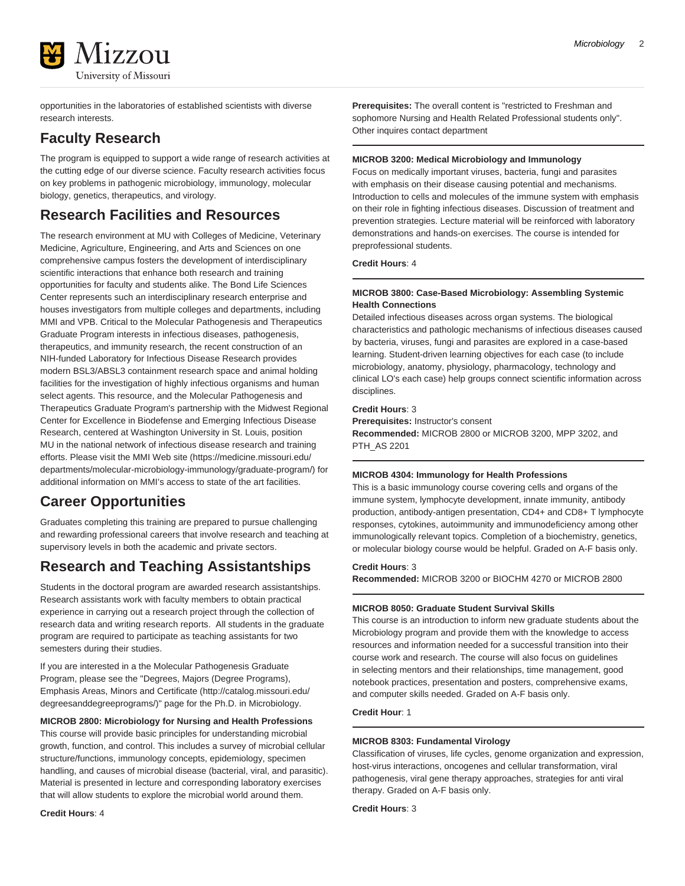

opportunities in the laboratories of established scientists with diverse research interests.

## **Faculty Research**

The program is equipped to support a wide range of research activities at the cutting edge of our diverse science. Faculty research activities focus on key problems in pathogenic microbiology, immunology, molecular biology, genetics, therapeutics, and virology.

### **Research Facilities and Resources**

The research environment at MU with Colleges of Medicine, Veterinary Medicine, Agriculture, Engineering, and Arts and Sciences on one comprehensive campus fosters the development of interdisciplinary scientific interactions that enhance both research and training opportunities for faculty and students alike. The Bond Life Sciences Center represents such an interdisciplinary research enterprise and houses investigators from multiple colleges and departments, including MMI and VPB. Critical to the Molecular Pathogenesis and Therapeutics Graduate Program interests in infectious diseases, pathogenesis, therapeutics, and immunity research, the recent construction of an NIH-funded Laboratory for Infectious Disease Research provides modern BSL3/ABSL3 containment research space and animal holding facilities for the investigation of highly infectious organisms and human select agents. This resource, and the Molecular Pathogenesis and Therapeutics Graduate Program's partnership with the Midwest Regional Center for Excellence in Biodefense and Emerging Infectious Disease Research, centered at Washington University in St. Louis, position MU in the national network of infectious disease research and training efforts. Please [visit the MMI Web site \(https://medicine.missouri.edu/](https://medicine.missouri.edu/departments/molecular-microbiology-immunology/graduate-program/) [departments/molecular-microbiology-immunology/graduate-program/](https://medicine.missouri.edu/departments/molecular-microbiology-immunology/graduate-program/)) for additional information on MMI's access to state of the art facilities.

# **Career Opportunities**

Graduates completing this training are prepared to pursue challenging and rewarding professional careers that involve research and teaching at supervisory levels in both the academic and private sectors.

# **Research and Teaching Assistantships**

Students in the doctoral program are awarded research assistantships. Research assistants work with faculty members to obtain practical experience in carrying out a research project through the collection of research data and writing research reports. All students in the graduate program are required to participate as teaching assistants for two semesters during their studies.

If you are interested in a the Molecular Pathogenesis Graduate Program, please see the ["Degrees, Majors \(Degree Programs\),](http://catalog.missouri.edu/degreesanddegreeprograms/) [Emphasis Areas, Minors and Certificate](http://catalog.missouri.edu/degreesanddegreeprograms/) [\(http://catalog.missouri.edu/](http://catalog.missouri.edu/degreesanddegreeprograms/) [degreesanddegreeprograms/](http://catalog.missouri.edu/degreesanddegreeprograms/))" page for the Ph.D. in Microbiology.

**MICROB 2800: Microbiology for Nursing and Health Professions** This course will provide basic principles for understanding microbial growth, function, and control. This includes a survey of microbial cellular structure/functions, immunology concepts, epidemiology, specimen handling, and causes of microbial disease (bacterial, viral, and parasitic). Material is presented in lecture and corresponding laboratory exercises that will allow students to explore the microbial world around them.

**Prerequisites:** The overall content is "restricted to Freshman and sophomore Nursing and Health Related Professional students only". Other inquires contact department

#### **MICROB 3200: Medical Microbiology and Immunology**

Focus on medically important viruses, bacteria, fungi and parasites with emphasis on their disease causing potential and mechanisms. Introduction to cells and molecules of the immune system with emphasis on their role in fighting infectious diseases. Discussion of treatment and prevention strategies. Lecture material will be reinforced with laboratory demonstrations and hands-on exercises. The course is intended for preprofessional students.

**Credit Hours**: 4

#### **MICROB 3800: Case-Based Microbiology: Assembling Systemic Health Connections**

Detailed infectious diseases across organ systems. The biological characteristics and pathologic mechanisms of infectious diseases caused by bacteria, viruses, fungi and parasites are explored in a case-based learning. Student-driven learning objectives for each case (to include microbiology, anatomy, physiology, pharmacology, technology and clinical LO's each case) help groups connect scientific information across disciplines.

#### **Credit Hours**: 3

**Prerequisites:** Instructor's consent **Recommended:** MICROB 2800 or MICROB 3200, MPP 3202, and PTH\_AS 2201

#### **MICROB 4304: Immunology for Health Professions**

This is a basic immunology course covering cells and organs of the immune system, lymphocyte development, innate immunity, antibody production, antibody-antigen presentation, CD4+ and CD8+ T lymphocyte responses, cytokines, autoimmunity and immunodeficiency among other immunologically relevant topics. Completion of a biochemistry, genetics, or molecular biology course would be helpful. Graded on A-F basis only.

#### **Credit Hours**: 3

**Recommended:** MICROB 3200 or BIOCHM 4270 or MICROB 2800

#### **MICROB 8050: Graduate Student Survival Skills**

This course is an introduction to inform new graduate students about the Microbiology program and provide them with the knowledge to access resources and information needed for a successful transition into their course work and research. The course will also focus on guidelines in selecting mentors and their relationships, time management, good notebook practices, presentation and posters, comprehensive exams, and computer skills needed. Graded on A-F basis only.

**Credit Hour**: 1

#### **MICROB 8303: Fundamental Virology**

Classification of viruses, life cycles, genome organization and expression, host-virus interactions, oncogenes and cellular transformation, viral pathogenesis, viral gene therapy approaches, strategies for anti viral therapy. Graded on A-F basis only.

**Credit Hours**: 3

**Credit Hours**: 4